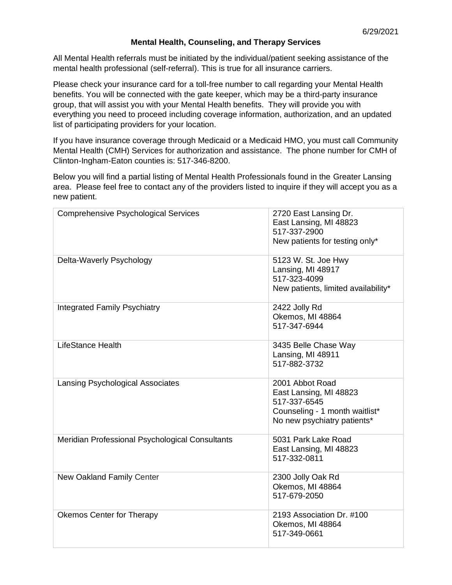## **Mental Health, Counseling, and Therapy Services**

All Mental Health referrals must be initiated by the individual/patient seeking assistance of the mental health professional (self-referral). This is true for all insurance carriers.

Please check your insurance card for a toll-free number to call regarding your Mental Health benefits. You will be connected with the gate keeper, which may be a third-party insurance group, that will assist you with your Mental Health benefits. They will provide you with everything you need to proceed including coverage information, authorization, and an updated list of participating providers for your location.

If you have insurance coverage through Medicaid or a Medicaid HMO, you must call Community Mental Health (CMH) Services for authorization and assistance. The phone number for CMH of Clinton-Ingham-Eaton counties is: 517-346-8200.

Below you will find a partial listing of Mental Health Professionals found in the Greater Lansing area. Please feel free to contact any of the providers listed to inquire if they will accept you as a new patient.

| <b>Comprehensive Psychological Services</b>     | 2720 East Lansing Dr.<br>East Lansing, MI 48823<br>517-337-2900<br>New patients for testing only*                          |
|-------------------------------------------------|----------------------------------------------------------------------------------------------------------------------------|
| Delta-Waverly Psychology                        | 5123 W. St. Joe Hwy<br>Lansing, MI 48917<br>517-323-4099<br>New patients, limited availability*                            |
| <b>Integrated Family Psychiatry</b>             | 2422 Jolly Rd<br>Okemos, MI 48864<br>517-347-6944                                                                          |
| <b>LifeStance Health</b>                        | 3435 Belle Chase Way<br>Lansing, MI 48911<br>517-882-3732                                                                  |
| <b>Lansing Psychological Associates</b>         | 2001 Abbot Road<br>East Lansing, MI 48823<br>517-337-6545<br>Counseling - 1 month waitlist*<br>No new psychiatry patients* |
| Meridian Professional Psychological Consultants | 5031 Park Lake Road<br>East Lansing, MI 48823<br>517-332-0811                                                              |
| New Oakland Family Center                       | 2300 Jolly Oak Rd<br>Okemos, MI 48864<br>517-679-2050                                                                      |
| Okemos Center for Therapy                       | 2193 Association Dr. #100<br>Okemos, MI 48864<br>517-349-0661                                                              |